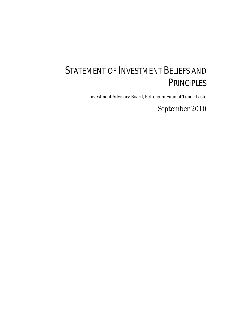# STATEMENT OF INVESTMENT BELIEFS AND **PRINCIPLES**

Investment Advisory Board, Petroleum Fund of Timor-Leste

September 2010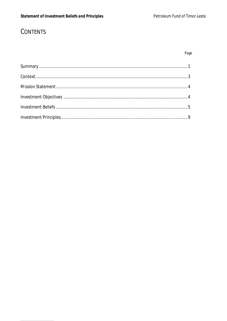# CONTENTS

| e e |  |
|-----|--|
|     |  |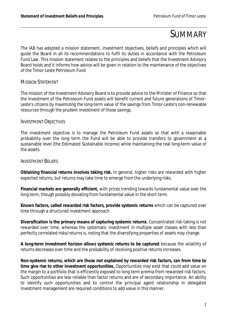# SUMMARY

The IAB has adopted a mission statement, investment objectives, beliefs and principles which will guide the Board in all its recommendations to fulfil its duties in accordance with the Petroleum Fund Law. This mission statement relates to the principles and beliefs that the Investment Advisory Board holds and it informs how advice will be given in relation to the maintenance of the objectives of the Timor-Leste Petroleum Fund

#### MISSION STATEMENT

The mission of the Investment Advisory Board is to provide advice to the Minister of Finance so that the investment of the Petroleum Fund assets will benefit current and future generations of Timor-Leste's citizens by maximizing the long-term value of the savings from Timor-Leste's non-renewable resources through the prudent investment of those savings.

#### INVESTMENT OBJECTIVES

The investment objective is to manage the Petroleum Fund assets so that with a reasonable probability over the long term the Fund will be able to provide transfers to government at a sustainable level (the Estimated Sustainable Income) while maintaining the real long-term value of the assets.

#### INVESTMENT BELIEFS

**Obtaining financial returns involves taking risk.** In general, higher risks are rewarded with higher expected returns, but returns may take time to emerge from the underlying risks.

**Financial markets are generally efficient,** with prices trending towards fundamental value over the long term, though possibly deviating from fundamental value in the short term.

**Known factors, called rewarded risk factors, provide systemic returns** which can be captured over time through a structured investment approach.

**Diversification is the primary means of capturing systemic returns**. Concentrated risk-taking is not rewarded over time, whereas the systematic investment in multiple asset classes with less than perfectly correlated risks/returns is, noting that the diversifying properties of assets may change.

**A long-term investment horizon allows systemic returns to be captured** because the volatility of returns decreases over time and the probability of receiving positive returns increases.

**Non-systemic returns, which are those not explained by rewarded risk factors, can from time to time give rise to other investment opportunities.** Opportunities may exist that could add value on the margin to a portfolio that is efficiently exposed to long term premia from rewarded risk factors. Such opportunities are less reliable than factor returns and are of secondary importance. An ability to identify such opportunities and to control the principal agent relationship in delegated investment management are required conditions to add value in this manner.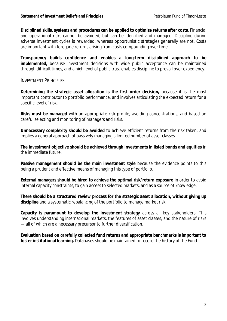**Disciplined skills, systems and procedures can be applied to optimize returns after costs**. Financial and operational risks cannot be avoided, but can be identified and managed. Discipline during adverse investment cycles is rewarded, whereas opportunistic strategies generally are not. Costs are important with foregone returns arising from costs compounding over time.

**Transparency builds confidence and enables a long-term disciplined approach to be implemented,** because investment decisions with wide public acceptance can be maintained through difficult times, and a high level of public trust enables discipline to prevail over expediency.

#### INVESTMENT PRINCIPLES

**Determining the strategic asset allocation is the first order decision,** because it is the most important contributor to portfolio performance, and involves articulating the expected return for a specific level of risk.

**Risks must be managed** with an appropriate risk profile, avoiding concentrations, and based on careful selecting and monitoring of managers and risks.

**Unnecessary complexity should be avoided** to achieve efficient returns from the risk taken, and implies a general approach of passively managing a limited number of asset classes.

**The investment objective should be achieved through investments in listed bonds and equities** in the immediate future.

**Passive management should be the main investment style** because the evidence points to this being a prudent and effective means of managing this type of portfolio.

**External managers should be hired to achieve the optimal risk/return exposure** in order to avoid internal capacity constraints, to gain access to selected markets, and as a source of knowledge.

**There should be a structured review process for the strategic asset allocation, without giving up discipline** and a systematic rebalancing of the portfolio to manage market risk.

**Capacity is paramount to develop the investment strategy** across all key stakeholders. This involves understanding international markets, the features of asset classes, and the nature of risks — all of which are a necessary precursor to further diversification.

**Evaluation based on carefully collected fund returns and appropriate benchmarks is important to foster institutional learning.** Databases should be maintained to record the history of the Fund.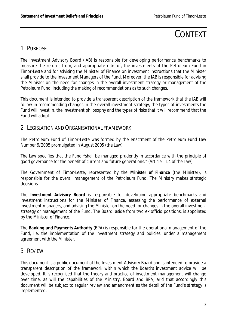# CONTEXT

# 1 PURPOSE

The Investment Advisory Board (IAB) is responsible for developing performance benchmarks to measure the returns from, and appropriate risks of, the investments of the Petroleum Fund in Timor-Leste and for advising the Minister of Finance on investment instructions that the Minister shall provide to the Investment Managers of the Fund. Moreover, the IAB is responsible for advising the Minister on the need for changes in the overall investment strategy or management of the Petroleum Fund, including the making of recommendations as to such changes.

This document is intended to provide a transparent description of the framework that the IAB will follow in recommending changes in the overall investment strategy, the types of investments the Fund will invest in, the investment philosophy and the types of risks that it will recommend that the Fund will adopt.

### 2 LEGISLATION AND ORGANISATIONAL FRAMEWORK

The Petroleum Fund of Timor-Leste was formed by the enactment of the Petroleum Fund Law Number 9/2005 promulgated in August 2005 (the Law).

The Law specifies that the Fund "shall be managed prudently in accordance with the principle of good governance for the benefit of current and future generations." *(Article 11.4 of the Law)*

The Government of Timor-Leste, represented by the *Minister of Finance* (the Minister), is responsible for the overall management of the Petroleum Fund. The Ministry makes strategic decisions.

The *Investment Advisory Board* is responsible for developing appropriate benchmarks and investment instructions for the Minister of Finance, assessing the performance of external investment managers, and advising the Minister on the need for changes in the overall investment strategy or management of the Fund. The Board, aside from two ex officio positions, is appointed by the Minister of Finance.

The *Banking and Payments Authority* (BPA) is responsible for the operational management of the Fund, i.e. the implementation of the investment strategy and policies, under a management agreement with the Minister.

# 3 REVIEW

This document is a public document of the Investment Advisory Board and is intended to provide a transparent description of the framework within which the Board's investment advice will be developed. It is recognised that the theory and practice of investment management will change over time, as will the capabilities of the Ministry, Board and BPA, arid that accordingly this document will be subject to regular review and amendment as the detail of the Fund's strategy is implemented.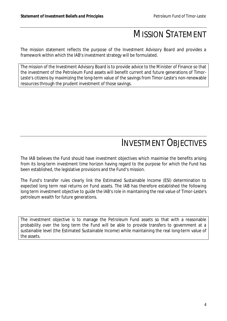# MISSION STATEMENT

The mission statement reflects the purpose of the Investment Advisory Board and provides a framework within which the IAB's investment strategy will be formulated.

The mission of the Investment Advisory Board is to provide advice to the Minister of Finance so that the investment of the Petroleum Fund assets will benefit current and future generations of Timor-Leste's citizens by maximizing the long-term value of the savings from Timor-Leste's non-renewable resources through the prudent investment of those savings.

# INVESTMENT OBJECTIVES

The IAB believes the Fund should have investment objectives which maximise the benefits arising from its long-term investment time horizon having regard to the purpose for which the Fund has been established, the legislative provisions and the Fund's mission.

The Fund's transfer rules clearly link the Estimated Sustainable Income (ESI) determination to expected long term real returns on Fund assets. The IAB has therefore established the following long term investment objective to guide the IAB's role in maintaining the real value of Timor-Leste's petroleum wealth for future generations.

The investment objective is to manage the Petroleum Fund assets so that with a reasonable probability over the long term the Fund will be able to provide transfers to government at a sustainable level (the Estimated Sustainable Income) while maintaining the real long-term value of the assets.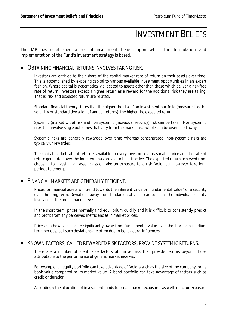# INVESTMENT BELIEFS

The IAB has established a set of investment beliefs upon which the formulation and implementation of the Fund's investment strategy is based.

#### OBTAINING FINANCIAL RETURNS INVOLVES TAKING RISK.

Investors are entitled to their share of the capital market rate of return on their assets over time. This is accomplished by exposing capital to various available investment opportunities in an expert fashion. Where capital is systematically allocated to assets other than those which deliver a risk-free rate of return, investors expect a higher return as a reward for the additional risk they are taking. That is, risk and expected return are related.

Standard financial theory states that the higher the risk of an investment portfolio (measured as the volatility or standard deviation of annual returns), the higher the expected return.

Systemic (market wide) risk and non systemic (individual security) risk can be taken. Non systemic risks that involve single outcomes that vary from the market as a whole can be diversified away.

Systemic risks are generally rewarded over time whereas concentrated, non-systemic risks are typically unrewarded.

The capital market rate of return is available to every investor at a reasonable price and the rate of return generated over the long term has proved to be attractive. The expected return achieved from choosing to invest in an asset class or take an exposure to a risk factor can however take long periods to emerge.

#### FINANCIAL MARKETS ARE GENERALLY EFFICIENT.

Prices for financial assets will trend towards the inherent value or "fundamental value" of a security over the long term. Deviations away from fundamental value can occur at the individual security level and at the broad market level.

In the short term, prices normally find equilibrium quickly and it is difficult to consistently predict and profit from any perceived inefficiencies in market prices.

Prices can however deviate significantly away from fundamental value over short or even medium term periods, but such deviations are often due to behavioural influences.

#### KNOWN FACTORS, CALLED REWARDED RISK FACTORS, PROVIDE SYSTEMIC RETURNS.

There are a number of identifiable factors of market risk that provide returns beyond those attributable to the performance of generic market indexes.

For example, an equity portfolio can take advantage of factors such as the size of the company, or its book value compared to its market value. A bond portfolio can take advantage of factors such as credit or duration.

Accordingly the allocation of investment funds to broad market exposures as well as factor exposure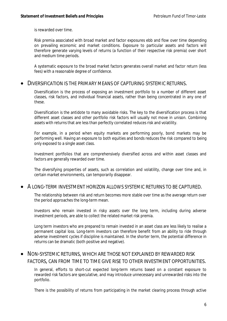is rewarded over time.

Risk premia associated with broad market and factor exposures ebb and flow over time depending on prevailing economic and market conditions. Exposure to particular assets and factors will therefore generate varying levels of returns (a function of their respective risk premia) over short and medium time periods.

A systematic exposure to the broad market factors generates overall market and factor return (less fees) with a reasonable degree of confidence.

#### DIVERSIFICATION IS THE PRIMARY MEANS OF CAPTURING SYSTEMIC RETURNS.

Diversification is the process of exposing an investment portfolio to a number of different asset classes, risk factors, and individual financial assets, rather than being concentrated in any one of these.

Diversification is the antidote to many avoidable risks. The key to the diversification process is that different asset classes and other portfolio risk factors will usually not move in unison. Combining assets with returns that are less than perfectly correlated reduces risk and volatility.

For example, in a period when equity markets are performing poorly, bond markets may be performing well. Having an exposure to both equities and bonds reduces the risk compared to being only exposed to a single asset class.

Investment portfolios that are comprehensively diversified across and within asset classes and factors are generally rewarded over time.

The diversifying properties of assets, such as correlation and volatility, change over time and, in certain market environments, can temporarily disappear.

#### A LONG-TERM INVESTMENT HORIZON ALLOWS SYSTEMIC RETURNS TO BE CAPTURED.

The relationship between risk and return becomes more stable over time as the average return over the period approaches the long-term mean.

Investors who remain invested in risky assets over the long term, including during adverse investment periods, are able to collect the related market risk premia.

Long term investors who are prepared to remain invested in an asset class are less likely to realise a permanent capital loss. Long-term investors can therefore benefit from an ability to ride through adverse investment cycles if discipline is maintained. In the shorter term, the potential difference in returns can be dramatic (both positive and negative).

### NON-SYSTEMIC RETURNS, WHICH ARE THOSE NOT EXPLAINED BY REWARDED RISK FACTORS, CAN FROM TIME TO TIME GIVE RISE TO OTHER INVESTMENT OPPORTUNITIES.

In general, efforts to short-cut expected long-term returns based on a constant exposure to rewarded risk factors are speculative, and may introduce unnecessary and unrewarded risks into the portfolio.

There is the possibility of returns from participating in the market clearing process through active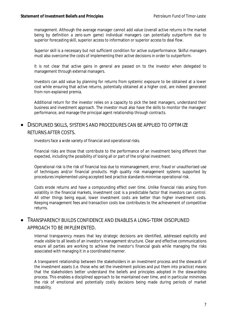management. Although the average manager cannot add value (overall active returns in the market being by definition a zero-sum game) individual managers can potentially outperform due to superior forecasting skill, superior access to information or superior access to deal flow.

Superior skill is a necessary but not sufficient condition for active outperformance. Skilful managers must also overcome the costs of implementing their active decisions in order to outperform.

It is not clear that active gains in general are passed on to the investor when delegated to management through external managers.

Investors can add value by planning for returns from systemic exposure to be obtained at a lower cost while ensuring that active returns, potentially obtained at a higher cost, are indeed generated from non-explained premia.

Additional return for the investor relies on a capacity to pick the best managers, understand their business and investment approach. The investor must also have the skills to monitor the managers' performance, and manage the principal agent relationship through contracts.

## DISCIPLINED SKILLS, SYSTEMS AND PROCEDURES CAN BE APPLIED TO OPTIMIZE RETURNS AFTER COSTS.

Investors face a wide variety of financial and operational risks.

Financial risks are those that contribute to the performance of an investment being different than expected, including the possibility of losing all or part of the original investment.

Operational risk is the risk of financial loss due to mismanagement, error, fraud or unauthorised use of techniques and/or financial products. High quality risk management systems supported by procedures implemented using accepted best practice standards minimise operational risk.

Costs erode returns and have a compounding effect over time. Unlike financial risks arising from volatility in the financial markets, investment cost is a predictable factor that investors can control. All other things being equal, lower investment costs are better than higher investment costs. Keeping management fees and transaction costs low contributes to the achievement of competitive returns.

### TRANSPARENCY BUILDS CONFIDENCE AND ENABLES A LONG-TERM DISCIPLINED APPROACH TO BE IMPLEMENTED.

Internal transparency means that key strategic decisions are identified, addressed explicitly and made visible to all levels of an investor's management structure. Clear and effective communications ensure all parties are working to achieve the investor's financial goals while managing the risks associated with managing it in a coordinated manner.

A transparent relationship between the stakeholders in an investment process and the stewards of the investment assets (i.e. those who set the investment policies and put them into practice) means that the stakeholders better understand the beliefs and principles adopted in the stewardship process. This enables a disciplined approach to be maintained over time, and in particular minimises the risk of emotional and potentially costly decisions being made during periods of market instability.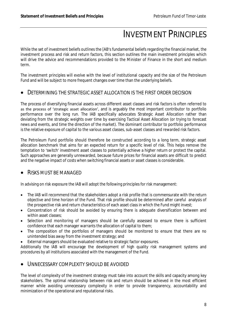# INVESTMENT PRINCIPLES

While the set of investment beliefs outlines the [AB's fundamental beliefs regarding the financial market, the investment process and risk and return factors, this section outlines the main investment principles which will drive the advice and recommendations provided to the Minister of Finance in the short and medium term.

The investment principles will evolve with the level of institutional capacity and the size of the Petroleum Fund and will be subject to more frequent changes over time than the underlying beliefs.

#### DETERMINING THE STRATEGIC ASSET ALLOCATION IS THE FIRST ORDER DECISION

The process of diversifying financial assets across different asset classes and risk factors is often referred to as the process of 'strategic asset allocation', and is arguably the most important contributor to portfolio performance over the long run. The IAB specifically advocates Strategic Asset Allocation rather than deviating from the strategic weights over time by exercising Tactical Asset Allocation (or trying to forecast news and events, and time the direction of the market). The dominant contributor to portfolio performance is the relative exposure of capital to the various asset classes, sub-asset classes and rewarded risk factors.

The Petroleum Fund portfolio should therefore be constructed according to a long term, strategic asset allocation benchmark that aims for an expected return for a specific level of risk. This helps remove the temptation to 'switch' investment asset classes to potentially achieve a higher return or protect the capital. Such approaches are generally unrewarded, because future prices for financial assets are difficult to predict and the negative impact of costs when switching financial assets or asset classes is considerable.

### RISKS MUST BE MANAGED

In advising on risk exposure the IAB will adopt the following principles for risk management:

- The IAB will recommend that the stakeholders adopt a risk profile that is commensurate with the return objective and time horizon of the Fund. That risk profile should be determined after careful analysis of the prospective risk and return characteristics of each asset class in which the Fund might invest;
- Concentration of risk should be avoided by ensuring there is adequate diversification between and within asset classes;
- Selection and monitoring of managers should be carefully assessed to ensure there is sufficient confidence that each manager warrants the allocation of capital to them;
- The composition of the portfolios of managers should be monitored to ensure that there are no unintended bias away from the investment strategy; and
- External managers should be evaluated relative to strategic factor exposures.

Additionally the IAB will encourage the development of high quality risk management systems and procedures by all institutions associated with the management of the Fund.

#### UNNECESSARY COMPLEXITY SHOULD BE AVOIDED

The level of complexity of the investment strategy must take into account the skills and capacity among key stakeholders. The optimal relationship between risk and return should be achieved in the most efficient manner while avoiding unnecessary complexity in order to provide transparency, accountability and minimization of the operational and reputational risks.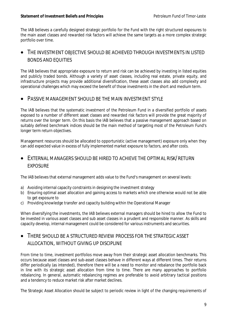The IAB believes a carefully designed strategic portfolio for the Fund with the right structured exposures to the main asset classes and rewarded risk factors will achieve the same targets as a more complex strategic portfolio over time.

## THE INVESTMENT OBJECTIVE SHOULD BE ACHIEVED THROUGH INVESTMENTS IN LISTED BONDS AND EQUITIES

The IAB believes that appropriate exposure to return and risk can be achieved by investing in listed equities and publicly traded bonds. Although a variety of asset classes, including real estate, private equity, and infrastructure projects may provide additional diversification, these asset classes also add complexity and operational challenges which may exceed the benefit of those investments in the short and medium term.

### PASSIVE MANAGEMENT SHOULD BE THE MAIN INVESTMENT STYLE

The IAB believes that the systematic investment of the Petroleum Fund in a diversified portfolio of assets exposed to a number of different asset classes and rewarded risk factors will provide the great majority of returns over the longer term. On this basis the IAB believes that a passive management approach based on suitably defined benchmark indices should be the main method of targeting most of the Petroleum Fund's longer term return objectives.

Management resources should be allocated to opportunistic (active management) exposure only when they can add expected value in excess of fully implemented market exposure to factors, and after costs.

### EXTERNAL MANAGERS SHOULD BE HIRED TO ACHIEVE THE OPTIMAL RISK/RETURN EXPOSURE

The IAB believes that external management adds value to the Fund's management on several levels:

- a) Avoiding internal capacity constraints in designing the investment strategy
- b) Ensuring optimal asset allocation and gaining access to markets which one otherwise would not be able to get exposure to
- c) Providing knowledge transfer and capacity building within the Operational Manager

When diversifying the investments, the IAB believes external managers should be hired to allow the Fund to be invested in various asset classes and sub asset classes in a prudent and responsible manner. As skills and capacity develop, internal management could be considered for various instruments and securities.

# THERE SHOULD BE A STRUCTURED REVIEW PROCESS FOR THE STRATEGIC ASSET ALLOCATION, WITHOUT GIVING UP DISCIPLINE

From time to time, investment portfolios move away from their strategic asset allocation benchmarks. This occurs because asset classes and sub-asset classes behave in different ways at different times. Their returns differ periodically (as intended), therefore there will be a need to monitor and rebalance the portfolio back in line with its strategic asset allocation from time to time. There are many approaches to portfolio rebalancing. In general, automatic rebalancing regimes are preferable to avoid arbitrary tactical positions and a tendency to reduce market risk after market declines.

The Strategic Asset Allocation should be subject to periodic review in light of the changing requirements of